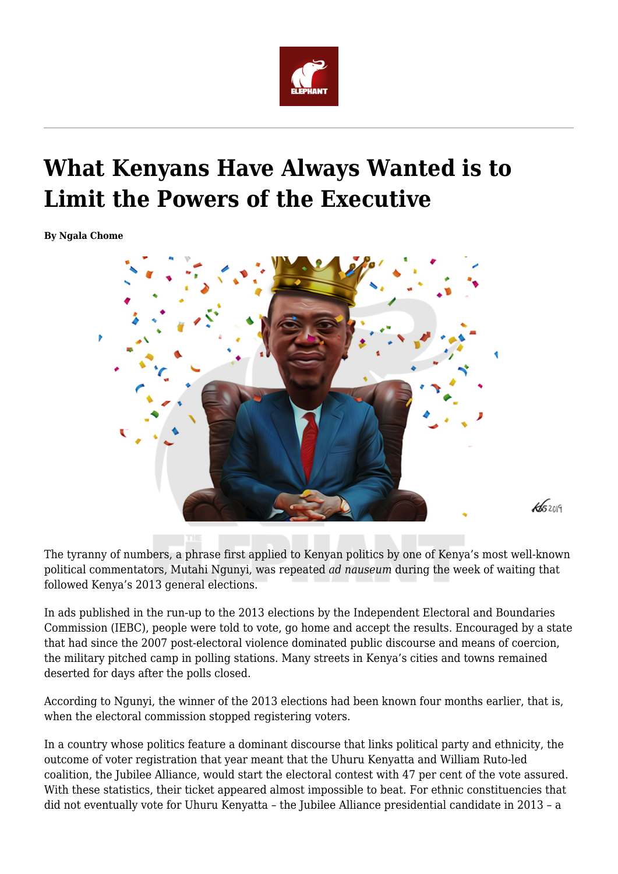

## **What Kenyans Have Always Wanted is to Limit the Powers of the Executive**

**By Ngala Chome**



The tyranny of numbers, a phrase first applied to Kenyan politics by one of Kenya's most well-known political commentators, Mutahi Ngunyi, was repeated *ad nauseum* during the week of waiting that followed Kenya's 2013 general elections.

In ads published in the run-up to the 2013 elections by the Independent Electoral and Boundaries Commission (IEBC), people were told to vote, go home and accept the results. Encouraged by a state that had since the 2007 post-electoral violence dominated public discourse and means of coercion, the military pitched camp in polling stations. Many streets in Kenya's cities and towns remained deserted for days after the polls closed.

According to Ngunyi, the winner of the 2013 elections had been known four months earlier, that is, when the electoral commission stopped registering voters.

In a country whose politics feature a dominant discourse that links political party and ethnicity, the outcome of voter registration that year meant that the Uhuru Kenyatta and William Ruto-led coalition, the Jubilee Alliance, would start the electoral contest with 47 per cent of the vote assured. With these statistics, their ticket appeared almost impossible to beat. For ethnic constituencies that did not eventually vote for Uhuru Kenyatta – the Jubilee Alliance presidential candidate in 2013 – a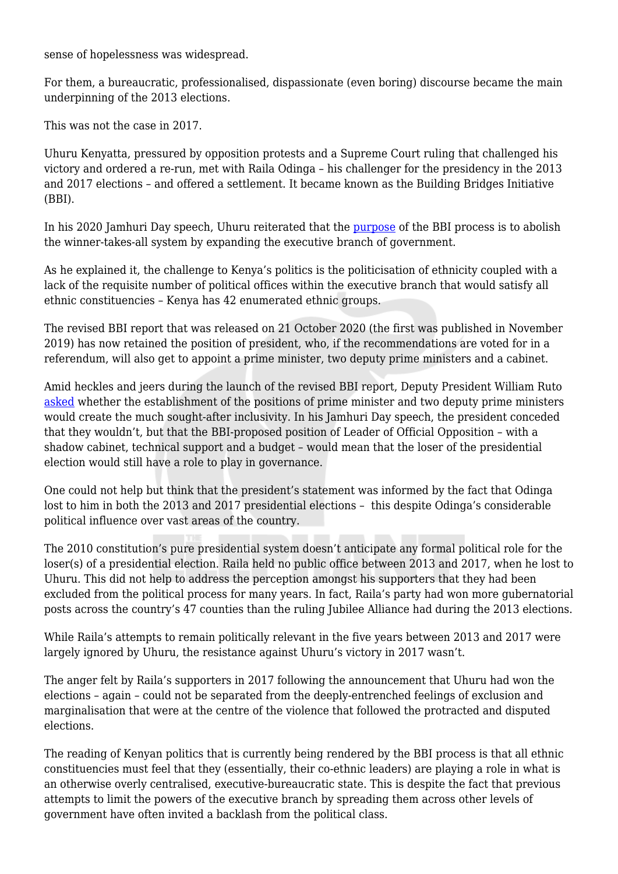sense of hopelessness was widespread.

For them, a bureaucratic, professionalised, dispassionate (even boring) discourse became the main underpinning of the 2013 elections.

This was not the case in 2017.

Uhuru Kenyatta, pressured by opposition protests and a Supreme Court ruling that challenged his victory and ordered a re-run, met with Raila Odinga – his challenger for the presidency in the 2013 and 2017 elections – and offered a settlement. It became known as the Building Bridges Initiative (BBI).

In his 2020 Jamhuri Day speech, Uhuru reiterated that the [purpose](https://www.youtube.com/watch?v=RWE487DSCNE&t=266s) of the BBI process is to abolish the winner-takes-all system by expanding the executive branch of government.

As he explained it, the challenge to Kenya's politics is the politicisation of ethnicity coupled with a lack of the requisite number of political offices within the executive branch that would satisfy all ethnic constituencies – Kenya has 42 enumerated ethnic groups.

The revised BBI report that was released on 21 October 2020 (the first was published in November 2019) has now retained the position of president, who, if the recommendations are voted for in a referendum, will also get to appoint a prime minister, two deputy prime ministers and a cabinet.

Amid heckles and jeers during the launch of the revised BBI report, Deputy President William Ruto [asked](https://www.youtube.com/watch?v=Pr-DxVNiqRE&t=22s) whether the establishment of the positions of prime minister and two deputy prime ministers would create the much sought-after inclusivity. In his Jamhuri Day speech, the president conceded that they wouldn't, but that the BBI-proposed position of Leader of Official Opposition – with a shadow cabinet, technical support and a budget – would mean that the loser of the presidential election would still have a role to play in governance.

One could not help but think that the president's statement was informed by the fact that Odinga lost to him in both the 2013 and 2017 presidential elections – this despite Odinga's considerable political influence over vast areas of the country.

The 2010 constitution's pure presidential system doesn't anticipate any formal political role for the loser(s) of a presidential election. Raila held no public office between 2013 and 2017, when he lost to Uhuru. This did not help to address the perception amongst his supporters that they had been excluded from the political process for many years. In fact, Raila's party had won more gubernatorial posts across the country's 47 counties than the ruling Jubilee Alliance had during the 2013 elections.

While Raila's attempts to remain politically relevant in the five years between 2013 and 2017 were largely ignored by Uhuru, the resistance against Uhuru's victory in 2017 wasn't.

The anger felt by Raila's supporters in 2017 following the announcement that Uhuru had won the elections – again – could not be separated from the deeply-entrenched feelings of exclusion and marginalisation that were at the centre of the violence that followed the protracted and disputed elections.

The reading of Kenyan politics that is currently being rendered by the BBI process is that all ethnic constituencies must feel that they (essentially, their co-ethnic leaders) are playing a role in what is an otherwise overly centralised, executive-bureaucratic state. This is despite the fact that previous attempts to limit the powers of the executive branch by spreading them across other levels of government have often invited a backlash from the political class.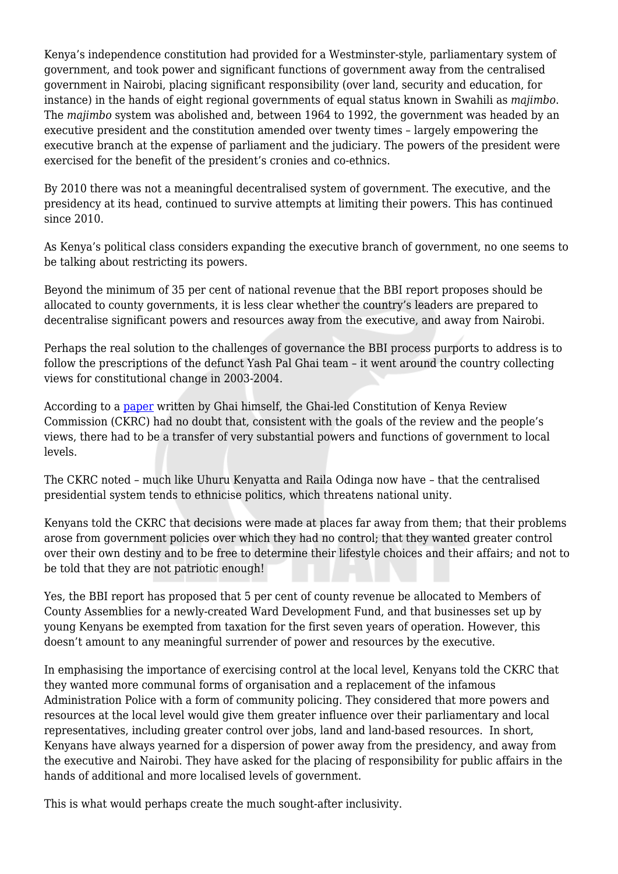Kenya's independence constitution had provided for a Westminster-style, parliamentary system of government, and took power and significant functions of government away from the centralised government in Nairobi, placing significant responsibility (over land, security and education, for instance) in the hands of eight regional governments of equal status known in Swahili as *majimbo*. The *majimbo* system was abolished and, between 1964 to 1992, the government was headed by an executive president and the constitution amended over twenty times – largely empowering the executive branch at the expense of parliament and the judiciary. The powers of the president were exercised for the benefit of the president's cronies and co-ethnics.

By 2010 there was not a meaningful decentralised system of government. The executive, and the presidency at its head, continued to survive attempts at limiting their powers. This has continued since 2010.

As Kenya's political class considers expanding the executive branch of government, no one seems to be talking about restricting its powers.

Beyond the minimum of 35 per cent of national revenue that the BBI report proposes should be allocated to county governments, it is less clear whether the country's leaders are prepared to decentralise significant powers and resources away from the executive, and away from Nairobi.

Perhaps the real solution to the challenges of governance the BBI process purports to address is to follow the prescriptions of the defunct Yash Pal Ghai team – it went around the country collecting views for constitutional change in 2003-2004.

According to a [paper](https://www.researchgate.net/publication/249051295_Devolution_Restructuring_the_Kenyan_State) written by Ghai himself, the Ghai-led Constitution of Kenya Review Commission (CKRC) had no doubt that, consistent with the goals of the review and the people's views, there had to be a transfer of very substantial powers and functions of government to local levels.

The CKRC noted – much like Uhuru Kenyatta and Raila Odinga now have – that the centralised presidential system tends to ethnicise politics, which threatens national unity.

Kenyans told the CKRC that decisions were made at places far away from them; that their problems arose from government policies over which they had no control; that they wanted greater control over their own destiny and to be free to determine their lifestyle choices and their affairs; and not to be told that they are not patriotic enough!

Yes, the BBI report has proposed that 5 per cent of county revenue be allocated to Members of County Assemblies for a newly-created Ward Development Fund, and that businesses set up by young Kenyans be exempted from taxation for the first seven years of operation. However, this doesn't amount to any meaningful surrender of power and resources by the executive.

In emphasising the importance of exercising control at the local level, Kenyans told the CKRC that they wanted more communal forms of organisation and a replacement of the infamous Administration Police with a form of community policing. They considered that more powers and resources at the local level would give them greater influence over their parliamentary and local representatives, including greater control over jobs, land and land-based resources. In short, Kenyans have always yearned for a dispersion of power away from the presidency, and away from the executive and Nairobi. They have asked for the placing of responsibility for public affairs in the hands of additional and more localised levels of government.

This is what would perhaps create the much sought-after inclusivity.